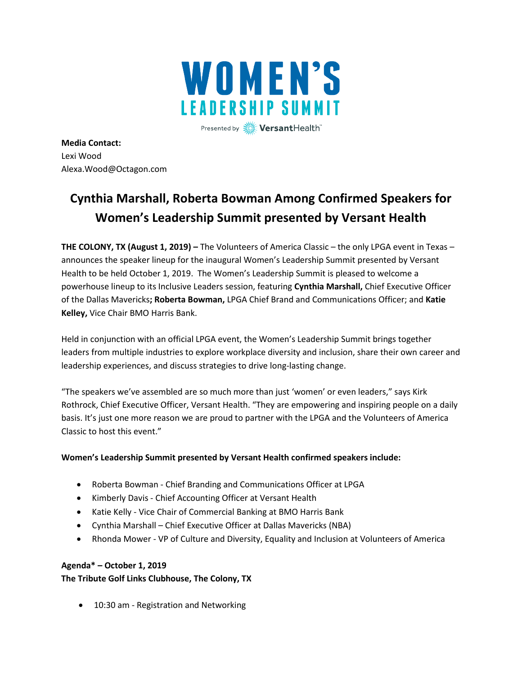

Presented by **Wersant**Health

**Media Contact:**  Lexi Wood Alexa.Wood@Octagon.com

# **Cynthia Marshall, Roberta Bowman Among Confirmed Speakers for Women's Leadership Summit presented by Versant Health**

**THE COLONY, TX (August 1, 2019) –** The Volunteers of America Classic – the only LPGA event in Texas – announces the speaker lineup for the inaugural Women's Leadership Summit presented by Versant Health to be held October 1, 2019. The Women's Leadership Summit is pleased to welcome a powerhouse lineup to its Inclusive Leaders session, featuring **Cynthia Marshall,** Chief Executive Officer of the Dallas Mavericks**; Roberta Bowman,** LPGA Chief Brand and Communications Officer; and **Katie Kelley,** Vice Chair BMO Harris Bank.

Held in conjunction with an official LPGA event, the Women's Leadership Summit brings together leaders from multiple industries to explore workplace diversity and inclusion, share their own career and leadership experiences, and discuss strategies to drive long-lasting change.

"The speakers we've assembled are so much more than just 'women' or even leaders," says Kirk Rothrock, Chief Executive Officer, Versant Health. "They are empowering and inspiring people on a daily basis. It's just one more reason we are proud to partner with the LPGA and the Volunteers of America Classic to host this event."

# **Women's Leadership Summit presented by Versant Health confirmed speakers include:**

- Roberta Bowman Chief Branding and Communications Officer at LPGA
- Kimberly Davis Chief Accounting Officer at Versant Health
- Katie Kelly Vice Chair of Commercial Banking at BMO Harris Bank
- Cynthia Marshall Chief Executive Officer at Dallas Mavericks (NBA)
- Rhonda Mower VP of Culture and Diversity, Equality and Inclusion at Volunteers of America

# **Agenda\* – October 1, 2019**

**The Tribute Golf Links Clubhouse, The Colony, TX**

• 10:30 am - Registration and Networking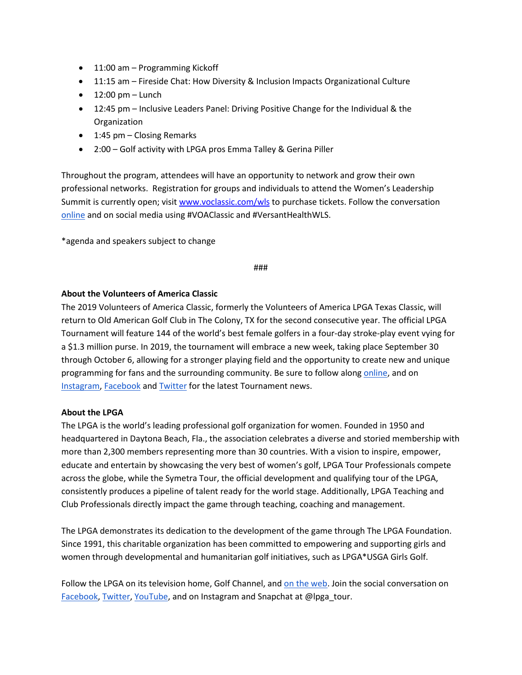- 11:00 am Programming Kickoff
- 11:15 am Fireside Chat: How Diversity & Inclusion Impacts Organizational Culture
- $\bullet$  12:00 pm Lunch
- 12:45 pm Inclusive Leaders Panel: Driving Positive Change for the Individual & the Organization
- 1:45 pm Closing Remarks
- 2:00 Golf activity with LPGA pros Emma Talley & Gerina Piller

Throughout the program, attendees will have an opportunity to network and grow their own professional networks. Registration for groups and individuals to attend the Women's Leadership Summit is currently open; visit [www.voclassic.com/wls](http://www.voclassic.com/wls) to purchase tickets. Follow the conversation [online](https://www.voa.org/volunteers-of-america-classic) and on social media using #VOAClassic and #VersantHealthWLS.

\*agenda and speakers subject to change

#### ###

## **About the Volunteers of America Classic**

The 2019 Volunteers of America Classic, formerly the Volunteers of America LPGA Texas Classic, will return to Old American Golf Club in The Colony, TX for the second consecutive year. The official LPGA Tournament will feature 144 of the world's best female golfers in a four-day stroke-play event vying for a \$1.3 million purse. In 2019, the tournament will embrace a new week, taking place September 30 through October 6, allowing for a stronger playing field and the opportunity to create new and unique programming for fans and the surrounding community. Be sure to follow alon[g online,](https://www.voa.org/volunteers-of-america-classic) and on [Instagram,](https://www.instagram.com/voaclassic/) [Facebook](https://www.facebook.com/VolunteersofAmericaClassic/) an[d Twitter](https://twitter.com/VOAClassic) for the latest Tournament news.

#### **About the LPGA**

The LPGA is the world's leading professional golf organization for women. Founded in 1950 and headquartered in Daytona Beach, Fla., the association celebrates a diverse and storied membership with more than 2,300 members representing more than 30 countries. With a vision to inspire, empower, educate and entertain by showcasing the very best of women's golf, LPGA Tour Professionals compete across the globe, while the Symetra Tour, the official development and qualifying tour of the LPGA, consistently produces a pipeline of talent ready for the world stage. Additionally, LPGA Teaching and Club Professionals directly impact the game through teaching, coaching and management.

The LPGA demonstrates its dedication to the development of the game through The LPGA Foundation. Since 1991, this charitable organization has been committed to empowering and supporting girls and women through developmental and humanitarian golf initiatives, such as LPGA\*USGA Girls Golf.

Follow the LPGA on its television home, Golf Channel, and [on the web.](http://www.lpga.com/) Join the social conversation on [Facebook,](http://www.facebook.com/lpga) [Twitter,](http://www.twitter.com/lpga) [YouTube,](http://www.youtube.com/lpgavideo) and on Instagram and Snapchat at @lpga\_tour.